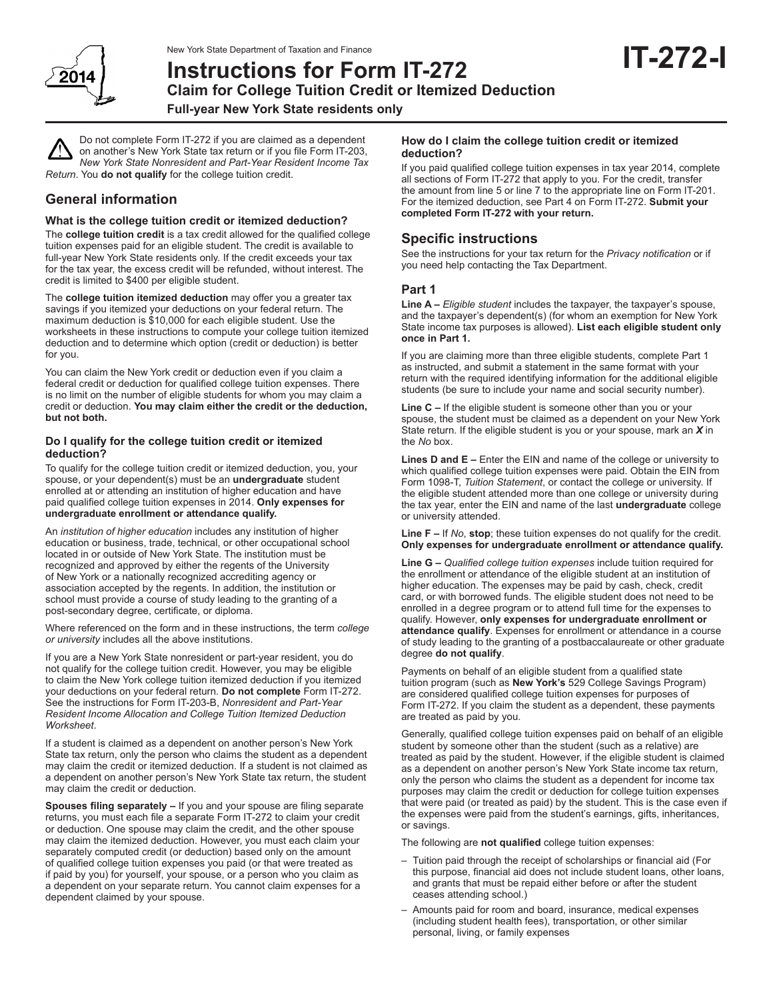

# **Instructions for Form IT-272 Claim for College Tuition Credit or Itemized Deduction Full-year New York State residents only**

Do not complete Form IT-272 if you are claimed as a dependent on another's New York State tax return or if you file Form IT-203, *New York State Nonresident and Part-Year Resident Income Tax Return*. You **do not qualify** for the college tuition credit.

# **General information**

## **What is the college tuition credit or itemized deduction?**

The **college tuition credit** is a tax credit allowed for the qualified college tuition expenses paid for an eligible student. The credit is available to full-year New York State residents only. If the credit exceeds your tax for the tax year, the excess credit will be refunded, without interest. The credit is limited to \$400 per eligible student.

The **college tuition itemized deduction** may offer you a greater tax savings if you itemized your deductions on your federal return. The maximum deduction is \$10,000 for each eligible student. Use the worksheets in these instructions to compute your college tuition itemized deduction and to determine which option (credit or deduction) is better for you.

You can claim the New York credit or deduction even if you claim a federal credit or deduction for qualified college tuition expenses. There is no limit on the number of eligible students for whom you may claim a credit or deduction. **You may claim either the credit or the deduction, but not both.**

## **Do I qualify for the college tuition credit or itemized deduction?**

To qualify for the college tuition credit or itemized deduction, you, your spouse, or your dependent(s) must be an **undergraduate** student enrolled at or attending an institution of higher education and have paid qualified college tuition expenses in 2014. **Only expenses for undergraduate enrollment or attendance qualify.**

An *institution of higher education* includes any institution of higher education or business, trade, technical, or other occupational school located in or outside of New York State. The institution must be recognized and approved by either the regents of the University of New York or a nationally recognized accrediting agency or association accepted by the regents. In addition, the institution or school must provide a course of study leading to the granting of a post-secondary degree, certificate, or diploma.

Where referenced on the form and in these instructions, the term *college or university* includes all the above institutions.

If you are a New York State nonresident or part-year resident, you do not qualify for the college tuition credit. However, you may be eligible to claim the New York college tuition itemized deduction if you itemized your deductions on your federal return. **Do not complete** Form IT-272. See the instructions for Form IT-203-B, *Nonresident and Part-Year Resident Income Allocation and College Tuition Itemized Deduction Worksheet*.

If a student is claimed as a dependent on another person's New York State tax return, only the person who claims the student as a dependent may claim the credit or itemized deduction. If a student is not claimed as a dependent on another person's New York State tax return, the student may claim the credit or deduction.

**Spouses filing separately –** If you and your spouse are filing separate returns, you must each file a separate Form IT-272 to claim your credit or deduction. One spouse may claim the credit, and the other spouse may claim the itemized deduction. However, you must each claim your separately computed credit (or deduction) based only on the amount of qualified college tuition expenses you paid (or that were treated as if paid by you) for yourself, your spouse, or a person who you claim as a dependent on your separate return. You cannot claim expenses for a dependent claimed by your spouse.

### **How do I claim the college tuition credit or itemized deduction?**

If you paid qualified college tuition expenses in tax year 2014, complete all sections of Form IT-272 that apply to you. For the credit, transfer the amount from line 5 or line 7 to the appropriate line on Form IT-201. For the itemized deduction, see Part 4 on Form IT-272. **Submit your completed Form IT-272 with your return.**

## **Specific instructions**

See the instructions for your tax return for the *Privacy notification* or if you need help contacting the Tax Department.

## **Part 1**

**Line A –** *Eligible student* includes the taxpayer, the taxpayer's spouse, and the taxpayer's dependent(s) (for whom an exemption for New York State income tax purposes is allowed). **List each eligible student only once in Part 1.**

If you are claiming more than three eligible students, complete Part 1 as instructed, and submit a statement in the same format with your return with the required identifying information for the additional eligible students (be sure to include your name and social security number).

**Line C –** If the eligible student is someone other than you or your spouse, the student must be claimed as a dependent on your New York State return. If the eligible student is you or your spouse, mark an *X* in the *No* box.

**Lines D and E –** Enter the EIN and name of the college or university to which qualified college tuition expenses were paid. Obtain the EIN from Form 1098-T, *Tuition Statement*, or contact the college or university. If the eligible student attended more than one college or university during the tax year, enter the EIN and name of the last **undergraduate** college or university attended.

#### **Line F –** If *No*, **stop**; these tuition expenses do not qualify for the credit. **Only expenses for undergraduate enrollment or attendance qualify.**

**Line G –** *Qualified college tuition expenses* include tuition required for the enrollment or attendance of the eligible student at an institution of higher education. The expenses may be paid by cash, check, credit card, or with borrowed funds. The eligible student does not need to be enrolled in a degree program or to attend full time for the expenses to qualify. However, **only expenses for undergraduate enrollment or attendance qualify**. Expenses for enrollment or attendance in a course of study leading to the granting of a postbaccalaureate or other graduate degree **do not qualify**.

Payments on behalf of an eligible student from a qualified state tuition program (such as **New York's** 529 College Savings Program) are considered qualified college tuition expenses for purposes of Form IT-272. If you claim the student as a dependent, these payments are treated as paid by you.

Generally, qualified college tuition expenses paid on behalf of an eligible student by someone other than the student (such as a relative) are treated as paid by the student. However, if the eligible student is claimed as a dependent on another person's New York State income tax return, only the person who claims the student as a dependent for income tax purposes may claim the credit or deduction for college tuition expenses that were paid (or treated as paid) by the student. This is the case even if the expenses were paid from the student's earnings, gifts, inheritances, or savings.

The following are **not qualified** college tuition expenses:

- Tuition paid through the receipt of scholarships or financial aid (For this purpose, financial aid does not include student loans, other loans, and grants that must be repaid either before or after the student ceases attending school.)
- Amounts paid for room and board, insurance, medical expenses (including student health fees), transportation, or other similar personal, living, or family expenses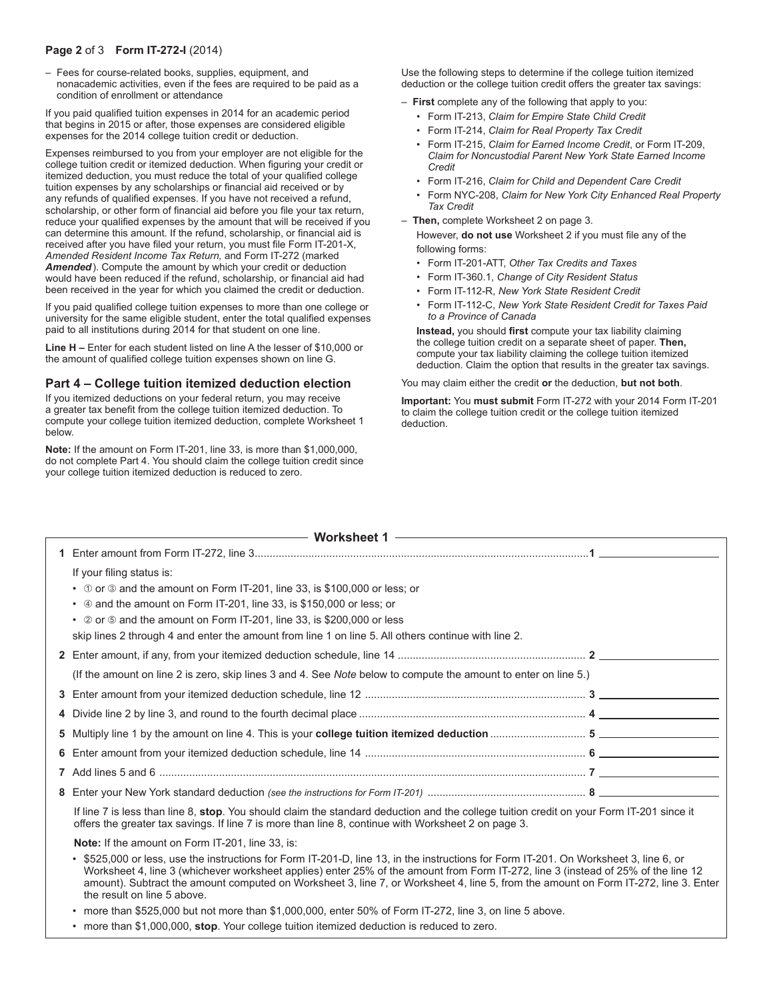## **Page 2** of 3 **Form IT-272-I** (2014)

– Fees for course-related books, supplies, equipment, and nonacademic activities, even if the fees are required to be paid as a condition of enrollment or attendance

If you paid qualified tuition expenses in 2014 for an academic period that begins in 2015 or after, those expenses are considered eligible expenses for the 2014 college tuition credit or deduction.

Expenses reimbursed to you from your employer are not eligible for the college tuition credit or itemized deduction. When figuring your credit or itemized deduction, you must reduce the total of your qualified college tuition expenses by any scholarships or financial aid received or by any refunds of qualified expenses. If you have not received a refund, scholarship, or other form of financial aid before you file your tax return, reduce your qualified expenses by the amount that will be received if you can determine this amount. If the refund, scholarship, or financial aid is received after you have filed your return, you must file Form IT-201-X, *Amended Resident Income Tax Return,* and Form IT-272 (marked *Amended*). Compute the amount by which your credit or deduction would have been reduced if the refund, scholarship, or financial aid had been received in the year for which you claimed the credit or deduction.

If you paid qualified college tuition expenses to more than one college or university for the same eligible student, enter the total qualified expenses paid to all institutions during 2014 for that student on one line.

**Line H –** Enter for each student listed on line A the lesser of \$10,000 or the amount of qualified college tuition expenses shown on line G.

## **Part 4 – College tuition itemized deduction election**

If you itemized deductions on your federal return, you may receive a greater tax benefit from the college tuition itemized deduction. To compute your college tuition itemized deduction, complete Worksheet 1 below.

**Note:** If the amount on Form IT-201, line 33, is more than \$1,000,000, do not complete Part 4. You should claim the college tuition credit since your college tuition itemized deduction is reduced to zero.

Use the following steps to determine if the college tuition itemized deduction or the college tuition credit offers the greater tax savings:

- **First** complete any of the following that apply to you:
	- Form IT-213, *Claim for Empire State Child Credit*
	- Form IT-214, *Claim for Real Property Tax Credit*
	- Form IT-215, *Claim for Earned Income Credit*, or Form IT-209, *Claim for Noncustodial Parent New York State Earned Income Credit*
	- Form IT-216, *Claim for Child and Dependent Care Credit*
	- Form NYC-208, *Claim for New York City Enhanced Real Property Tax Credit*
- **Then,** complete Worksheet 2 on page 3.

However, **do not use** Worksheet 2 if you must file any of the following forms:

- Form IT-201-ATT, *Other Tax Credits and Taxes*
- Form IT-360.1, *Change of City Resident Status*
- Form IT-112-R, *New York State Resident Credit*
- Form IT-112-C, *New York State Resident Credit for Taxes Paid to a Province of Canada*

**Instead,** you should **first** compute your tax liability claiming the college tuition credit on a separate sheet of paper. **Then,**  compute your tax liability claiming the college tuition itemized deduction. Claim the option that results in the greater tax savings.

You may claim either the credit **or** the deduction, **but not both**.

**Important:** You **must submit** Form IT-272 with your 2014 Form IT-201 to claim the college tuition credit or the college tuition itemized deduction.

|  | If your filing status is:                                                                                                                                                                                                                                                                                                                                                                                                                      |  |  |
|--|------------------------------------------------------------------------------------------------------------------------------------------------------------------------------------------------------------------------------------------------------------------------------------------------------------------------------------------------------------------------------------------------------------------------------------------------|--|--|
|  | $\cdot$ 0 or 3 and the amount on Form IT-201, line 33, is \$100,000 or less; or                                                                                                                                                                                                                                                                                                                                                                |  |  |
|  | • 4 and the amount on Form IT-201, line 33, is \$150,000 or less; or                                                                                                                                                                                                                                                                                                                                                                           |  |  |
|  | • 2 or 5 and the amount on Form IT-201, line 33, is \$200,000 or less                                                                                                                                                                                                                                                                                                                                                                          |  |  |
|  | skip lines 2 through 4 and enter the amount from line 1 on line 5. All others continue with line 2.                                                                                                                                                                                                                                                                                                                                            |  |  |
|  |                                                                                                                                                                                                                                                                                                                                                                                                                                                |  |  |
|  | (If the amount on line 2 is zero, skip lines 3 and 4. See Note below to compute the amount to enter on line 5.)                                                                                                                                                                                                                                                                                                                                |  |  |
|  |                                                                                                                                                                                                                                                                                                                                                                                                                                                |  |  |
|  |                                                                                                                                                                                                                                                                                                                                                                                                                                                |  |  |
|  |                                                                                                                                                                                                                                                                                                                                                                                                                                                |  |  |
|  |                                                                                                                                                                                                                                                                                                                                                                                                                                                |  |  |
|  |                                                                                                                                                                                                                                                                                                                                                                                                                                                |  |  |
|  |                                                                                                                                                                                                                                                                                                                                                                                                                                                |  |  |
|  | If line 7 is less than line 8, stop. You should claim the standard deduction and the college tuition credit on your Form IT-201 since it<br>offers the greater tax savings. If line 7 is more than line 8, continue with Worksheet 2 on page 3.                                                                                                                                                                                                |  |  |
|  | Note: If the amount on Form IT-201, line 33, is:                                                                                                                                                                                                                                                                                                                                                                                               |  |  |
|  | \$525,000 or less, use the instructions for Form IT-201-D, line 13, in the instructions for Form IT-201. On Worksheet 3, line 6, or<br>Worksheet 4, line 3 (whichever worksheet applies) enter 25% of the amount from Form IT-272, line 3 (instead of 25% of the line 12<br>amount). Subtract the amount computed on Worksheet 3, line 7, or Worksheet 4, line 5, from the amount on Form IT-272, line 3. Enter<br>the result on line 5 above. |  |  |
|  | • more than \$525,000 but not more than \$1,000,000, enter 50% of Form IT-272, line 3, on line 5 above.                                                                                                                                                                                                                                                                                                                                        |  |  |
|  | • more than \$1,000,000, stop. Your college tuition itemized deduction is reduced to zero.                                                                                                                                                                                                                                                                                                                                                     |  |  |